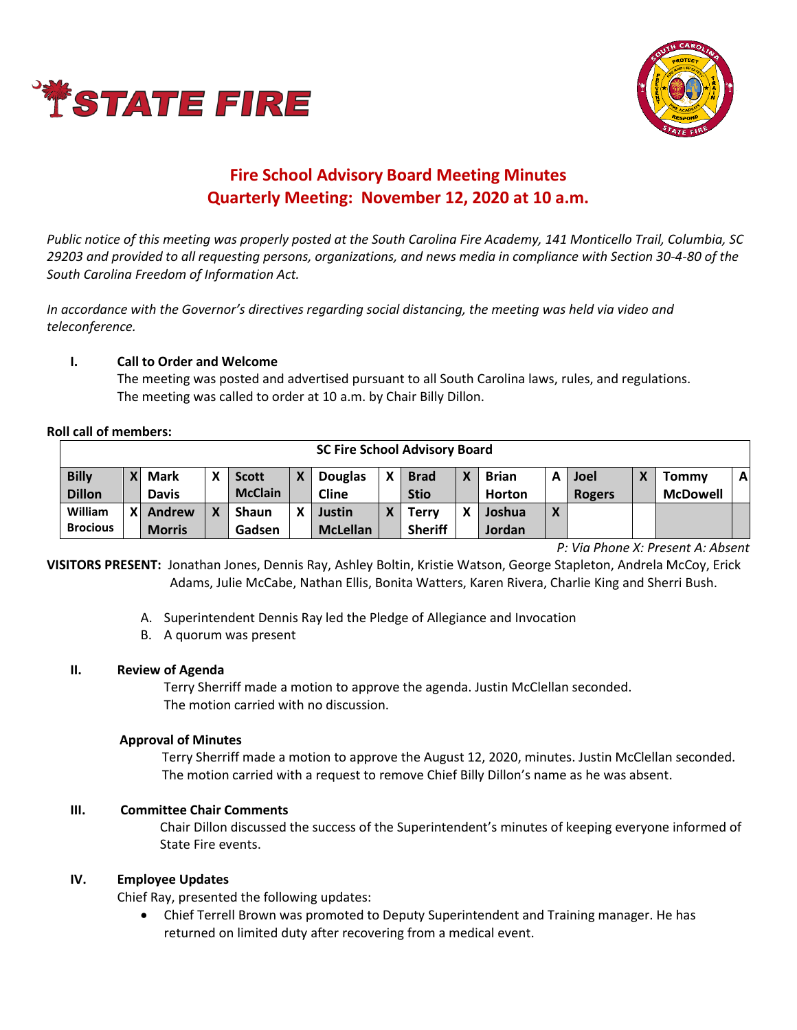



# **Fire School Advisory Board Meeting Minutes Quarterly Meeting: November 12, 2020 at 10 a.m.**

*Public notice of this meeting was properly posted at the South Carolina Fire Academy, 141 Monticello Trail, Columbia, SC 29203 and provided to all requesting persons, organizations, and news media in compliance with Section 30-4-80 of the South Carolina Freedom of Information Act.* 

*In accordance with the Governor's directives regarding social distancing, the meeting was held via video and teleconference.*

## **I. Call to Order and Welcome**

The meeting was posted and advertised pursuant to all South Carolina laws, rules, and regulations. The meeting was called to order at 10 a.m. by Chair Billy Dillon.

#### **Roll call of members:**

| <b>SC Fire School Advisory Board</b> |                           |               |  |                |   |                 |   |                |   |               |            |               |  |                 |              |
|--------------------------------------|---------------------------|---------------|--|----------------|---|-----------------|---|----------------|---|---------------|------------|---------------|--|-----------------|--------------|
| <b>Billy</b>                         | $\mathbf{x}$              | <b>Mark</b>   |  | <b>Scott</b>   | X | <b>Douglas</b>  |   | <b>Brad</b>    |   | <b>Brian</b>  |            | <b>Joel</b>   |  | <b>Tommy</b>    | $\mathbf{A}$ |
| <b>Dillon</b>                        |                           | <b>Davis</b>  |  | <b>McClain</b> |   | <b>Cline</b>    |   | <b>Stio</b>    |   | <b>Horton</b> |            | <b>Rogers</b> |  | <b>McDowell</b> |              |
| William                              | $\boldsymbol{\mathsf{x}}$ | Andrew        |  | <b>Shaun</b>   | χ | Justin          | X | Terrv          | χ | Joshua        | $\sqrt{ }$ |               |  |                 |              |
| <b>Brocious</b>                      |                           | <b>Morris</b> |  | Gadsen         |   | <b>McLellan</b> |   | <b>Sheriff</b> |   | Jordan        |            |               |  |                 |              |

*P: Via Phone X: Present A: Absent*

**VISITORS PRESENT:** Jonathan Jones, Dennis Ray, Ashley Boltin, Kristie Watson, George Stapleton, Andrela McCoy, Erick Adams, Julie McCabe, Nathan Ellis, Bonita Watters, Karen Rivera, Charlie King and Sherri Bush.

- A. Superintendent Dennis Ray led the Pledge of Allegiance and Invocation
- B. A quorum was present

#### **II. Review of Agenda**

Terry Sherriff made a motion to approve the agenda. Justin McClellan seconded. The motion carried with no discussion.

#### **Approval of Minutes**

Terry Sherriff made a motion to approve the August 12, 2020, minutes. Justin McClellan seconded. The motion carried with a request to remove Chief Billy Dillon's name as he was absent.

#### **III. Committee Chair Comments**

Chair Dillon discussed the success of the Superintendent's minutes of keeping everyone informed of State Fire events.

#### **IV. Employee Updates**

Chief Ray, presented the following updates:

• Chief Terrell Brown was promoted to Deputy Superintendent and Training manager. He has returned on limited duty after recovering from a medical event.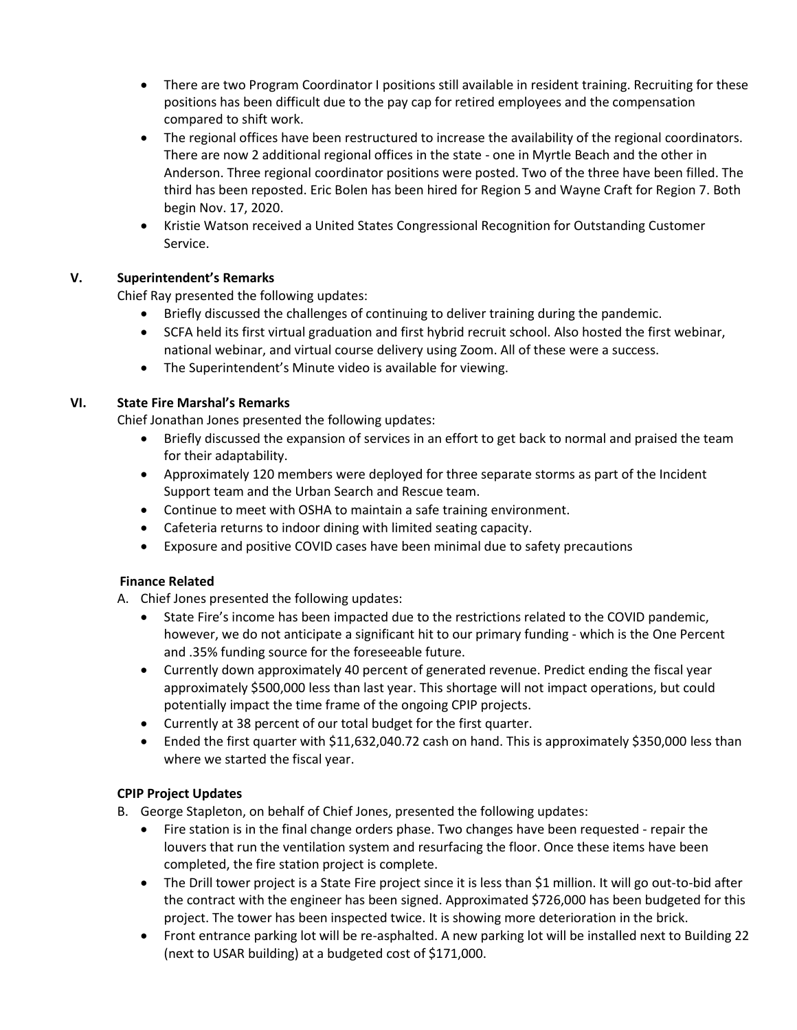- There are two Program Coordinator I positions still available in resident training. Recruiting for these positions has been difficult due to the pay cap for retired employees and the compensation compared to shift work.
- The regional offices have been restructured to increase the availability of the regional coordinators. There are now 2 additional regional offices in the state - one in Myrtle Beach and the other in Anderson. Three regional coordinator positions were posted. Two of the three have been filled. The third has been reposted. Eric Bolen has been hired for Region 5 and Wayne Craft for Region 7. Both begin Nov. 17, 2020.
- Kristie Watson received a United States Congressional Recognition for Outstanding Customer Service.

# **V. Superintendent's Remarks**

Chief Ray presented the following updates:

- Briefly discussed the challenges of continuing to deliver training during the pandemic.
- SCFA held its first virtual graduation and first hybrid recruit school. Also hosted the first webinar, national webinar, and virtual course delivery using Zoom. All of these were a success.
- The Superintendent's Minute video is available for viewing.

# **VI. State Fire Marshal's Remarks**

Chief Jonathan Jones presented the following updates:

- Briefly discussed the expansion of services in an effort to get back to normal and praised the team for their adaptability.
- Approximately 120 members were deployed for three separate storms as part of the Incident Support team and the Urban Search and Rescue team.
- Continue to meet with OSHA to maintain a safe training environment.
- Cafeteria returns to indoor dining with limited seating capacity.
- Exposure and positive COVID cases have been minimal due to safety precautions

# **Finance Related**

- A. Chief Jones presented the following updates:
	- State Fire's income has been impacted due to the restrictions related to the COVID pandemic, however, we do not anticipate a significant hit to our primary funding - which is the One Percent and .35% funding source for the foreseeable future.
	- Currently down approximately 40 percent of generated revenue. Predict ending the fiscal year approximately \$500,000 less than last year. This shortage will not impact operations, but could potentially impact the time frame of the ongoing CPIP projects.
	- Currently at 38 percent of our total budget for the first quarter.
	- Ended the first quarter with \$11,632,040.72 cash on hand. This is approximately \$350,000 less than where we started the fiscal year.

# **CPIP Project Updates**

B. George Stapleton, on behalf of Chief Jones, presented the following updates:

- Fire station is in the final change orders phase. Two changes have been requested repair the louvers that run the ventilation system and resurfacing the floor. Once these items have been completed, the fire station project is complete.
- The Drill tower project is a State Fire project since it is less than \$1 million. It will go out-to-bid after the contract with the engineer has been signed. Approximated \$726,000 has been budgeted for this project. The tower has been inspected twice. It is showing more deterioration in the brick.
- Front entrance parking lot will be re-asphalted. A new parking lot will be installed next to Building 22 (next to USAR building) at a budgeted cost of \$171,000.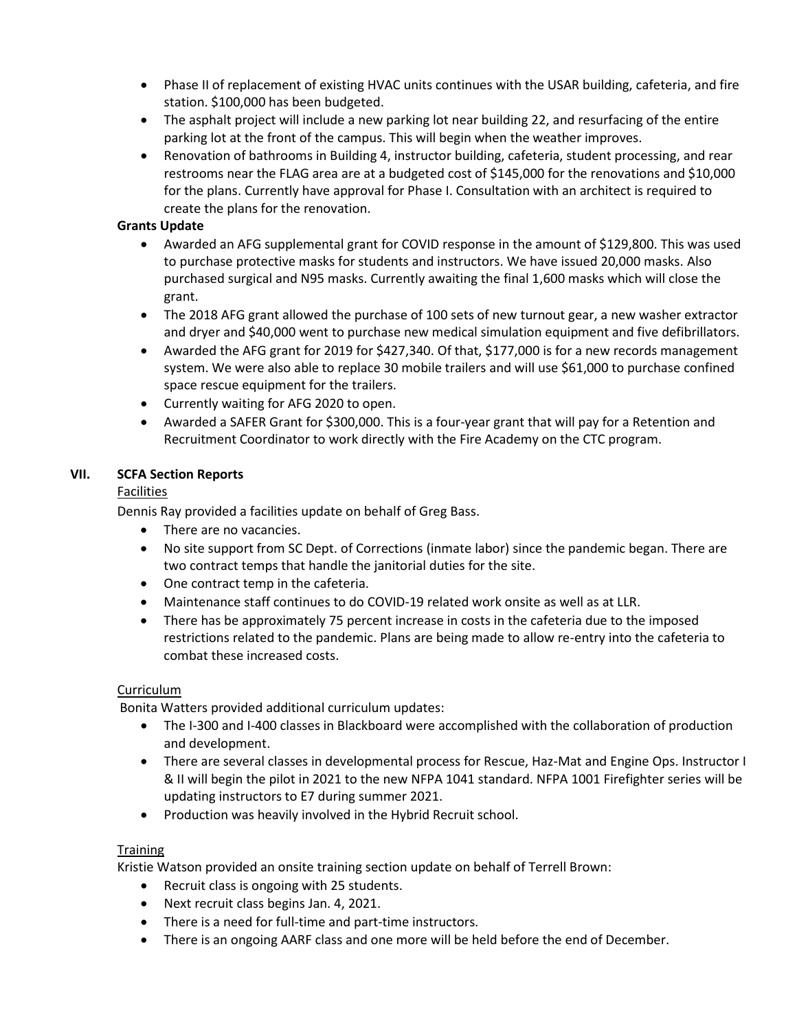- Phase II of replacement of existing HVAC units continues with the USAR building, cafeteria, and fire station. \$100,000 has been budgeted.
- The asphalt project will include a new parking lot near building 22, and resurfacing of the entire parking lot at the front of the campus. This will begin when the weather improves.
- Renovation of bathrooms in Building 4, instructor building, cafeteria, student processing, and rear restrooms near the FLAG area are at a budgeted cost of \$145,000 for the renovations and \$10,000 for the plans. Currently have approval for Phase I. Consultation with an architect is required to create the plans for the renovation.

## **Grants Update**

- Awarded an AFG supplemental grant for COVID response in the amount of \$129,800. This was used to purchase protective masks for students and instructors. We have issued 20,000 masks. Also purchased surgical and N95 masks. Currently awaiting the final 1,600 masks which will close the grant.
- The 2018 AFG grant allowed the purchase of 100 sets of new turnout gear, a new washer extractor and dryer and \$40,000 went to purchase new medical simulation equipment and five defibrillators.
- Awarded the AFG grant for 2019 for \$427,340. Of that, \$177,000 is for a new records management system. We were also able to replace 30 mobile trailers and will use \$61,000 to purchase confined space rescue equipment for the trailers.
- Currently waiting for AFG 2020 to open.
- Awarded a SAFER Grant for \$300,000. This is a four-year grant that will pay for a Retention and Recruitment Coordinator to work directly with the Fire Academy on the CTC program.

## **VII. SCFA Section Reports**

#### Facilities

Dennis Ray provided a facilities update on behalf of Greg Bass.

- There are no vacancies.
- No site support from SC Dept. of Corrections (inmate labor) since the pandemic began. There are two contract temps that handle the janitorial duties for the site.
- One contract temp in the cafeteria.
- Maintenance staff continues to do COVID-19 related work onsite as well as at LLR.
- There has be approximately 75 percent increase in costs in the cafeteria due to the imposed restrictions related to the pandemic. Plans are being made to allow re-entry into the cafeteria to combat these increased costs.

#### Curriculum

Bonita Watters provided additional curriculum updates:

- The I-300 and I-400 classes in Blackboard were accomplished with the collaboration of production and development.
- There are several classes in developmental process for Rescue, Haz-Mat and Engine Ops. Instructor I & II will begin the pilot in 2021 to the new NFPA 1041 standard. NFPA 1001 Firefighter series will be updating instructors to E7 during summer 2021.
- Production was heavily involved in the Hybrid Recruit school.

#### **Training**

Kristie Watson provided an onsite training section update on behalf of Terrell Brown:

- Recruit class is ongoing with 25 students.
- Next recruit class begins Jan. 4, 2021.
- There is a need for full-time and part-time instructors.
- There is an ongoing AARF class and one more will be held before the end of December.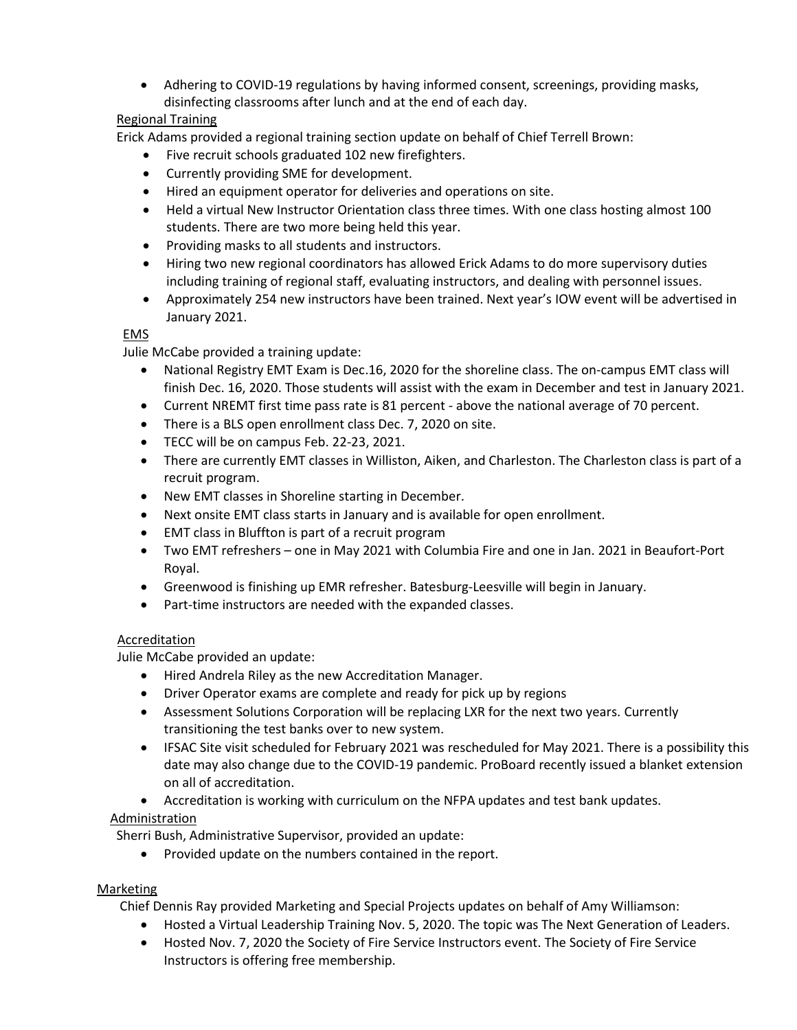• Adhering to COVID-19 regulations by having informed consent, screenings, providing masks, disinfecting classrooms after lunch and at the end of each day.

# Regional Training

Erick Adams provided a regional training section update on behalf of Chief Terrell Brown:

- Five recruit schools graduated 102 new firefighters.
- Currently providing SME for development.
- Hired an equipment operator for deliveries and operations on site.
- Held a virtual New Instructor Orientation class three times. With one class hosting almost 100 students. There are two more being held this year.
- Providing masks to all students and instructors.
- Hiring two new regional coordinators has allowed Erick Adams to do more supervisory duties including training of regional staff, evaluating instructors, and dealing with personnel issues.
- Approximately 254 new instructors have been trained. Next year's IOW event will be advertised in January 2021.

## **EMS**

Julie McCabe provided a training update:

- National Registry EMT Exam is Dec.16, 2020 for the shoreline class. The on-campus EMT class will finish Dec. 16, 2020. Those students will assist with the exam in December and test in January 2021.
- Current NREMT first time pass rate is 81 percent above the national average of 70 percent.
- There is a BLS open enrollment class Dec. 7, 2020 on site.
- TECC will be on campus Feb. 22-23, 2021.
- There are currently EMT classes in Williston, Aiken, and Charleston. The Charleston class is part of a recruit program.
- New EMT classes in Shoreline starting in December.
- Next onsite EMT class starts in January and is available for open enrollment.
- EMT class in Bluffton is part of a recruit program
- Two EMT refreshers one in May 2021 with Columbia Fire and one in Jan. 2021 in Beaufort-Port Royal.
- Greenwood is finishing up EMR refresher. Batesburg-Leesville will begin in January.
- Part-time instructors are needed with the expanded classes.

# Accreditation

Julie McCabe provided an update:

- Hired Andrela Riley as the new Accreditation Manager.
- Driver Operator exams are complete and ready for pick up by regions
- Assessment Solutions Corporation will be replacing LXR for the next two years. Currently transitioning the test banks over to new system.
- IFSAC Site visit scheduled for February 2021 was rescheduled for May 2021. There is a possibility this date may also change due to the COVID-19 pandemic. ProBoard recently issued a blanket extension on all of accreditation.
- Accreditation is working with curriculum on the NFPA updates and test bank updates.

# Administration

Sherri Bush, Administrative Supervisor, provided an update:

• Provided update on the numbers contained in the report.

# Marketing

Chief Dennis Ray provided Marketing and Special Projects updates on behalf of Amy Williamson:

- Hosted a Virtual Leadership Training Nov. 5, 2020. The topic was The Next Generation of Leaders.
- Hosted Nov. 7, 2020 the Society of Fire Service Instructors event. The Society of Fire Service Instructors is offering free membership.